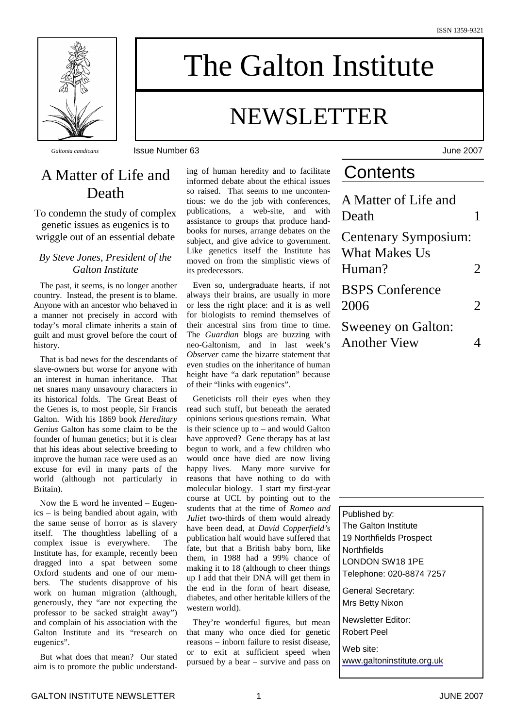

The Galton Institute

# NEWSLETTER

*Galtonia candicans* Issue Number 63 June 2007

### A Matter of Life and Death

To condemn the study of complex genetic issues as eugenics is to wriggle out of an essential debate

#### *By Steve Jones, President of the Galton Institute*

The past, it seems, is no longer another country. Instead, the present is to blame. Anyone with an ancestor who behaved in a manner not precisely in accord with today's moral climate inherits a stain of guilt and must grovel before the court of history.

That is bad news for the descendants of slave-owners but worse for anyone with an interest in human inheritance. That net snares many unsavoury characters in its historical folds. The Great Beast of the Genes is, to most people, Sir Francis Galton. With his 1869 book *Hereditary Genius* Galton has some claim to be the founder of human genetics; but it is clear that his ideas about selective breeding to improve the human race were used as an excuse for evil in many parts of the world (although not particularly in Britain).

Now the E word he invented – Eugenics – is being bandied about again, with the same sense of horror as is slavery itself. The thoughtless labelling of a complex issue is everywhere. The Institute has, for example, recently been dragged into a spat between some Oxford students and one of our members. The students disapprove of his work on human migration (although, generously, they "are not expecting the professor to be sacked straight away") and complain of his association with the Galton Institute and its "research on eugenics".

But what does that mean? Our stated aim is to promote the public understanding of human heredity and to facilitate informed debate about the ethical issues so raised. That seems to me uncontentious: we do the job with conferences, publications, a web-site, and with assistance to groups that produce handbooks for nurses, arrange debates on the subject, and give advice to government. Like genetics itself the Institute has moved on from the simplistic views of its predecessors.

Even so, undergraduate hearts, if not always their brains, are usually in more or less the right place: and it is as well for biologists to remind themselves of their ancestral sins from time to time. The *Guardian* blogs are buzzing with neo-Galtonism, and in last week's *Observer* came the bizarre statement that even studies on the inheritance of human height have "a dark reputation" because of their "links with eugenics".

Geneticists roll their eyes when they read such stuff, but beneath the aerated opinions serious questions remain. What is their science up to – and would Galton have approved? Gene therapy has at last begun to work, and a few children who would once have died are now living happy lives. Many more survive for reasons that have nothing to do with molecular biology. I start my first-year course at UCL by pointing out to the students that at the time of *Romeo and Juliet* two-thirds of them would already have been dead, at *David Copperfield'*s publication half would have suffered that fate, but that a British baby born, like them, in 1988 had a 99% chance of making it to 18 (although to cheer things up I add that their DNA will get them in the end in the form of heart disease, diabetes, and other heritable killers of the western world).

They're wonderful figures, but mean that many who once died for genetic reasons – inborn failure to resist disease, or to exit at sufficient speed when pursued by a bear – survive and pass on

### **Contents**

| A Matter of Life and<br>Death                          |                       |
|--------------------------------------------------------|-----------------------|
| Centenary Symposium:<br><b>What Makes Us</b><br>Human? | $\mathcal{D}_{\cdot}$ |
| <b>BSPS</b> Conference<br>2006                         | $\overline{2}$        |
| <b>Sweeney on Galton:</b><br><b>Another View</b>       |                       |



Web site: [www.galtoninstitute.org.uk](http://www.galtoninstitute.org.uk)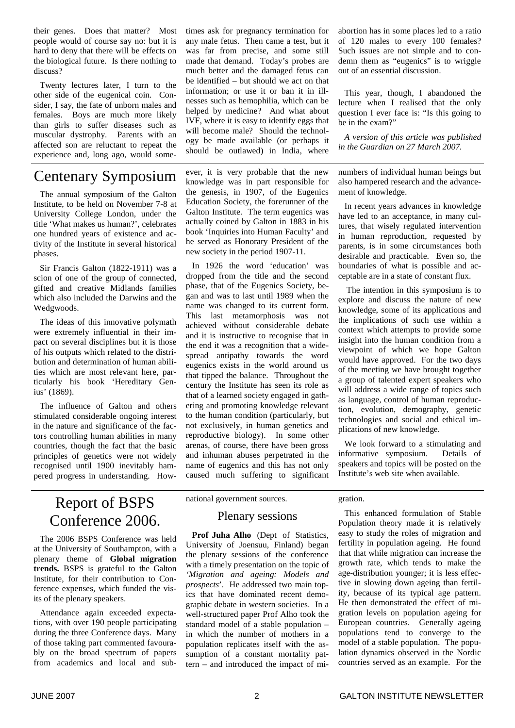their genes. Does that matter? Most people would of course say no: but it is hard to deny that there will be effects on the biological future. Is there nothing to discuss?

Twenty lectures later, I turn to the other side of the eugenical coin. Consider, I say, the fate of unborn males and females. Boys are much more likely than girls to suffer diseases such as muscular dystrophy. Parents with an affected son are reluctant to repeat the experience and, long ago, would some-

### Centenary Symposium

The annual symposium of the Galton Institute, to be held on November 7-8 at University College London, under the title 'What makes us human?', celebrates one hundred years of existence and activity of the Institute in several historical phases.

Sir Francis Galton (1822-1911) was a scion of one of the group of connected, gifted and creative Midlands families which also included the Darwins and the Wedgwoods.

The ideas of this innovative polymath were extremely influential in their impact on several disciplines but it is those of his outputs which related to the distribution and determination of human abilities which are most relevant here, particularly his book 'Hereditary Genius' (1869).

The influence of Galton and others stimulated considerable ongoing interest in the nature and significance of the factors controlling human abilities in many countries, though the fact that the basic principles of genetics were not widely recognised until 1900 inevitably hampered progress in understanding. How-

### Report of BSPS Conference 2006.

The 2006 BSPS Conference was held at the University of Southampton, with a plenary theme of **Global migration trends.** BSPS is grateful to the Galton Institute, for their contribution to Conference expenses, which funded the visits of the plenary speakers.

Attendance again exceeded expectations, with over 190 people participating during the three Conference days. Many of those taking part commented favourably on the broad spectrum of papers from academics and local and subtimes ask for pregnancy termination for any male fetus. Then came a test, but it was far from precise, and some still made that demand. Today's probes are much better and the damaged fetus can be identified – but should we act on that information; or use it or ban it in illnesses such as hemophilia, which can be helped by medicine? And what about IVF, where it is easy to identify eggs that will become male? Should the technology be made available (or perhaps it should be outlawed) in India, where

ever, it is very probable that the new knowledge was in part responsible for the genesis, in 1907, of the Eugenics Education Society, the forerunner of the Galton Institute. The term eugenics was actually coined by Galton in 1883 in his book 'Inquiries into Human Faculty' and he served as Honorary President of the new society in the period 1907-11.

In 1926 the word 'education' was dropped from the title and the second phase, that of the Eugenics Society, began and was to last until 1989 when the name was changed to its current form. This last metamorphosis was not achieved without considerable debate and it is instructive to recognise that in the end it was a recognition that a widespread antipathy towards the word eugenics exists in the world around us that tipped the balance. Throughout the century the Institute has seen its role as that of a learned society engaged in gathering and promoting knowledge relevant to the human condition (particularly, but not exclusively, in human genetics and reproductive biology). In some other arenas, of course, there have been gross and inhuman abuses perpetrated in the name of eugenics and this has not only caused much suffering to significant abortion has in some places led to a ratio of 120 males to every 100 females? Such issues are not simple and to condemn them as "eugenics" is to wriggle out of an essential discussion.

This year, though, I abandoned the lecture when I realised that the only question I ever face is: "Is this going to be in the exam?"

*A version of this article was published in the Guardian on 27 March 2007.*

numbers of individual human beings but also hampered research and the advancement of knowledge.

In recent years advances in knowledge have led to an acceptance, in many cultures, that wisely regulated intervention in human reproduction, requested by parents, is in some circumstances both desirable and practicable. Even so, the boundaries of what is possible and acceptable are in a state of constant flux.

 The intention in this symposium is to explore and discuss the nature of new knowledge, some of its applications and the implications of such use within a context which attempts to provide some insight into the human condition from a viewpoint of which we hope Galton would have approved. For the two days of the meeting we have brought together a group of talented expert speakers who will address a wide range of topics such as language, control of human reproduction, evolution, demography, genetic technologies and social and ethical implications of new knowledge.

We look forward to a stimulating and informative symposium. Details of speakers and topics will be posted on the Institute's web site when available.

national government sources.

#### Plenary sessions

Prof Juha Alho (Dept of Statistics, University of Joensuu, Finland) began the plenary sessions of the conference with a timely presentation on the topic of *'Migration and ageing: Models and prospects*'. He addressed two main topics that have dominated recent demographic debate in western societies. In a well-structured paper Prof Alho took the standard model of a stable population in which the number of mothers in a population replicates itself with the assumption of a constant mortality pattern – and introduced the impact of migration.

This enhanced formulation of Stable Population theory made it is relatively easy to study the roles of migration and fertility in population ageing. He found that that while migration can increase the growth rate, which tends to make the age-distribution younger; it is less effective in slowing down ageing than fertility, because of its typical age pattern. He then demonstrated the effect of migration levels on population ageing for European countries. Generally ageing populations tend to converge to the model of a stable population. The population dynamics observed in the Nordic countries served as an example. For the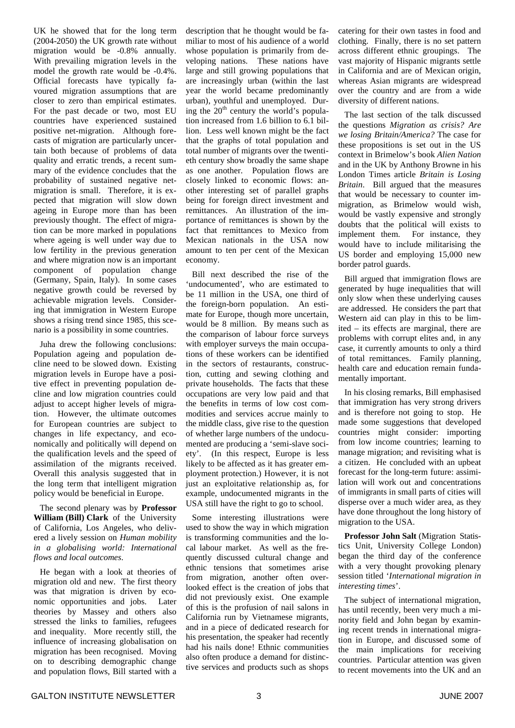UK he showed that for the long term (2004-2050) the UK growth rate without migration would be -0.8% annually. With prevailing migration levels in the model the growth rate would be -0.4%. Official forecasts have typically favoured migration assumptions that are closer to zero than empirical estimates. For the past decade or two, most EU countries have experienced sustained positive net-migration. Although forecasts of migration are particularly uncertain both because of problems of data quality and erratic trends, a recent summary of the evidence concludes that the probability of sustained negative netmigration is small. Therefore, it is expected that migration will slow down ageing in Europe more than has been previously thought. The effect of migration can be more marked in populations where ageing is well under way due to low fertility in the previous generation and where migration now is an important component of population change (Germany, Spain, Italy). In some cases negative growth could be reversed by achievable migration levels. Considering that immigration in Western Europe shows a rising trend since 1985, this scenario is a possibility in some countries.

Juha drew the following conclusions: Population ageing and population decline need to be slowed down. Existing migration levels in Europe have a positive effect in preventing population decline and low migration countries could adjust to accept higher levels of migration. However, the ultimate outcomes for European countries are subject to changes in life expectancy, and economically and politically will depend on the qualification levels and the speed of assimilation of the migrants received. Overall this analysis suggested that in the long term that intelligent migration policy would be beneficial in Europe.

The second plenary was by **Professor William (Bill) Clark** of the University of California, Los Angeles, who delivered a lively session on *Human mobility in a globalising world: International flows and local outcomes*.

He began with a look at theories of migration old and new. The first theory was that migration is driven by economic opportunities and jobs. Later theories by Massey and others also stressed the links to families, refugees and inequality. More recently still, the influence of increasing globalisation on migration has been recognised. Moving on to describing demographic change and population flows, Bill started with a

description that he thought would be familiar to most of his audience of a world whose population is primarily from developing nations. These nations have large and still growing populations that are increasingly urban (within the last year the world became predominantly urban), youthful and unemployed. During the  $20<sup>th</sup>$  century the world's population increased from 1.6 billion to 6.1 billion. Less well known might be the fact that the graphs of total population and total number of migrants over the twentieth century show broadly the same shape as one another. Population flows are closely linked to economic flows: another interesting set of parallel graphs being for foreign direct investment and remittances. An illustration of the importance of remittances is shown by the fact that remittances to Mexico from Mexican nationals in the USA now amount to ten per cent of the Mexican economy.

Bill next described the rise of the 'undocumented', who are estimated to be 11 million in the USA, one third of the foreign-born population. An estimate for Europe, though more uncertain, would be 8 million. By means such as the comparison of labour force surveys with employer surveys the main occupations of these workers can be identified in the sectors of restaurants, construction, cutting and sewing clothing and private households. The facts that these occupations are very low paid and that the benefits in terms of low cost commodities and services accrue mainly to the middle class, give rise to the question of whether large numbers of the undocumented are producing a 'semi-slave society'. (In this respect, Europe is less likely to be affected as it has greater employment protection.) However, it is not just an exploitative relationship as, for example, undocumented migrants in the USA still have the right to go to school.

Some interesting illustrations were used to show the way in which migration is transforming communities and the local labour market. As well as the frequently discussed cultural change and ethnic tensions that sometimes arise from migration, another often overlooked effect is the creation of jobs that did not previously exist. One example of this is the profusion of nail salons in California run by Vietnamese migrants, and in a piece of dedicated research for his presentation, the speaker had recently had his nails done! Ethnic communities also often produce a demand for distinctive services and products such as shops catering for their own tastes in food and clothing. Finally, there is no set pattern across different ethnic groupings. The vast majority of Hispanic migrants settle in California and are of Mexican origin, whereas Asian migrants are widespread over the country and are from a wide diversity of different nations.

The last section of the talk discussed the questions *Migration as crisis? Are we losing Britain/America?* The case for these propositions is set out in the US context in Brimelow's book *Alien Nation* and in the UK by Anthony Browne in his London Times article *Britain is Losing Britain*. Bill argued that the measures that would be necessary to counter immigration, as Brimelow would wish, would be vastly expensive and strongly doubts that the political will exists to implement them. For instance, they would have to include militarising the US border and employing 15,000 new border patrol guards.

Bill argued that immigration flows are generated by huge inequalities that will only slow when these underlying causes are addressed. He considers the part that Western aid can play in this to be limited – its effects are marginal, there are problems with corrupt elites and, in any case, it currently amounts to only a third of total remittances. Family planning, health care and education remain fundamentally important.

In his closing remarks, Bill emphasised that immigration has very strong drivers and is therefore not going to stop. He made some suggestions that developed countries might consider: importing from low income countries; learning to manage migration; and revisiting what is a citizen. He concluded with an upbeat forecast for the long-term future: assimilation will work out and concentrations of immigrants in small parts of cities will disperse over a much wider area, as they have done throughout the long history of migration to the USA.

**Professor John Salt** (Migration Statistics Unit, University College London) began the third day of the conference with a very thought provoking plenary session titled '*International migration in interesting times*'.

The subject of international migration, has until recently, been very much a minority field and John began by examining recent trends in international migration in Europe, and discussed some of the main implications for receiving countries. Particular attention was given to recent movements into the UK and an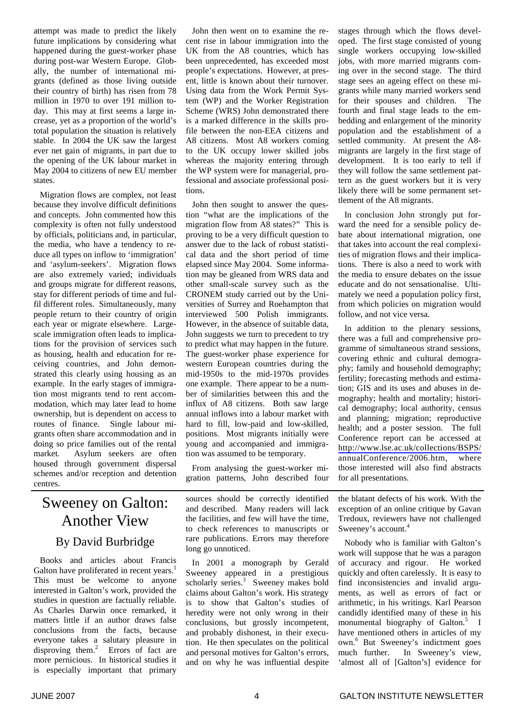attempt was made to predict the likely future implications by considering what happened during the guest-worker phase during post-war Western Europe. Globally, the number of international migrants (defined as those living outside their country of birth) has risen from 78 million in 1970 to over 191 million today. This may at first seems a large increase, yet as a proportion of the world's total population the situation is relatively stable. In 2004 the UK saw the largest ever net gain of migrants, in part due to the opening of the UK labour market in May 2004 to citizens of new EU member states.

Migration flows are complex, not least because they involve difficult definitions and concepts. John commented how this complexity is often not fully understood by officials, politicians and, in particular, the media, who have a tendency to reduce all types on inflow to 'immigration' and 'asylum-seekers'. Migration flows are also extremely varied; individuals and groups migrate for different reasons, stay for different periods of time and fulfil different roles. Simultaneously, many people return to their country of origin each year or migrate elsewhere. Largescale immigration often leads to implications for the provision of services such as housing, health and education for receiving countries, and John demonstrated this clearly using housing as an example. In the early stages of immigration most migrants tend to rent accommodation, which may later lead to home ownership, but is dependent on access to routes of finance. Single labour migrants often share accommodation and in doing so price families out of the rental market. Asylum seekers are often housed through government dispersal schemes and/or reception and detention centres.

## Sweeney on Galton: Another View

#### By David Burbridge

Books and articles about Francis Galton have proliferated in recent years.<sup>1</sup> This must be welcome to anyone interested in Galton's work, provided the studies in question are factually reliable. As Charles Darwin once remarked, it matters little if an author draws false conclusions from the facts, because everyone takes a salutary pleasure in disproving them.<sup>2</sup> Errors of fact are more pernicious. In historical studies it is especially important that primary

John then went on to examine the recent rise in labour immigration into the UK from the A8 countries, which has been unprecedented, has exceeded most people's expectations. However, at present, little is known about their turnover. Using data from the Work Permit System (WP) and the Worker Registration Scheme (WRS) John demonstrated there is a marked difference in the skills profile between the non-EEA citizens and A8 citizens. Most A8 workers coming to the UK occupy lower skilled jobs whereas the majority entering through the WP system were for managerial, professional and associate professional positions.

John then sought to answer the question "what are the implications of the migration flow from  $A\overline{8}$  states?" This is proving to be a very difficult question to answer due to the lack of robust statistical data and the short period of time elapsed since May 2004. Some information may be gleaned from WRS data and other small-scale survey such as the CRONEM study carried out by the Universities of Surrey and Roehampton that interviewed 500 Polish immigrants. However, in the absence of suitable data, John suggests we turn to precedent to try to predict what may happen in the future. The guest-worker phase experience for western European countries during the mid-1950s to the mid-1970s provides one example. There appear to be a number of similarities between this and the influx of A8 citizens. Both saw large annual inflows into a labour market with hard to fill, low-paid and low-skilled, positions. Most migrants initially were young and accompanied and immigration was assumed to be temporary.

From analysing the guest-worker migration patterns, John described four

sources should be correctly identified and described. Many readers will lack the facilities, and few will have the time, to check references to manuscripts or rare publications. Errors may therefore long go unnoticed.

In 2001 a monograph by Gerald Sweeney appeared in a prestigious scholarly series.<sup>3</sup> Sweeney makes bold claims about Galton's work. His strategy is to show that Galton's studies of heredity were not only wrong in their conclusions, but grossly incompetent, and probably dishonest, in their execution. He then speculates on the political and personal motives for Galton's errors, and on why he was influential despite

stages through which the flows developed. The first stage consisted of young single workers occupying low-skilled jobs, with more married migrants coming over in the second stage. The third stage sees an ageing effect on these migrants while many married workers send for their spouses and children. The fourth and final stage leads to the embedding and enlargement of the minority population and the establishment of a settled community. At present the A8 migrants are largely in the first stage of development. It is too early to tell if they will follow the same settlement pattern as the guest workers but it is very likely there will be some permanent settlement of the A8 migrants.

In conclusion John strongly put forward the need for a sensible policy debate about international migration, one that takes into account the real complexities of migration flows and their implications. There is also a need to work with the media to ensure debates on the issue educate and do not sensationalise. Ultimately we need a population policy first, from which policies on migration would follow, and not vice versa.

In addition to the plenary sessions, there was a full and comprehensive programme of simultaneous strand sessions, covering ethnic and cultural demography; family and household demography; fertility; forecasting methods and estimation; GIS and its uses and abuses in demography; health and mortality; historical demography; local authority, census and planning; migration; reproductive health; and a poster session. The full Conference report can be accessed at <http://www.lse.ac.uk/collections/BSPS/> annualConference/2006.htm, where those interested will also find abstracts for all presentations.

the blatant defects of his work. With the exception of an online critique by Gavan Tredoux, reviewers have not challenged Sweeney's account.

Nobody who is familiar with Galton's work will suppose that he was a paragon of accuracy and rigour. He worked quickly and often carelessly. It is easy to find inconsistencies and invalid arguments, as well as errors of fact or arithmetic, in his writings. Karl Pearson candidly identified many of these in his monumental biography of Galton.<sup>5</sup> I have mentioned others in articles of my own.<sup>6</sup> But Sweeney's indictment goes much further. In Sweeney's view, 'almost all of [Galton's] evidence for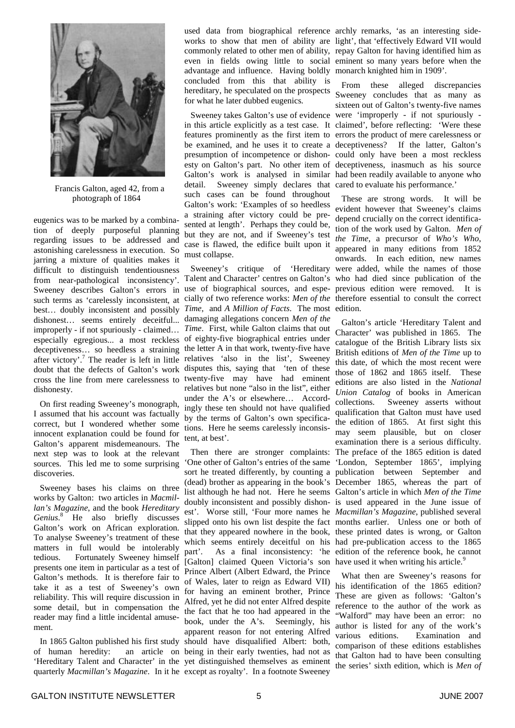

Francis Galton, aged 42, from a photograph of 1864

eugenics was to be marked by a combination of deeply purposeful planning regarding issues to be addressed and astonishing carelessness in execution. So jarring a mixture of qualities makes it difficult to distinguish tendentiousness from near-pathological inconsistency'. Sweeney describes Galton's errors in such terms as 'carelessly inconsistent, at best… doubly inconsistent and possibly dishonest… seems entirely deceitful... improperly - if not spuriously - claimed… especially egregious... a most reckless deceptiveness… so heedless a straining after victory'.<sup>7</sup> The reader is left in little relatives 'also in the list', Sweeney doubt that the defects of Galton's work disputes this, saying that 'ten of these cross the line from mere carelessness to twenty-five may have had eminent dishonesty.

On first reading Sweeney's monograph, I assumed that his account was factually correct, but I wondered whether some innocent explanation could be found for Galton's apparent misdemeanours. The next step was to look at the relevant sources. This led me to some surprising discoveries.

Sweeney bases his claims on three works by Galton: two articles in *Macmillan's Magazine*, and the book *Hereditary* Genius.<sup>8</sup> He also briefly discusses Galton's work on African exploration. To analyse Sweeney's treatment of these matters in full would be intolerably tedious. Fortunately Sweeney himself presents one item in particular as a test of Galton's methods. It is therefore fair to take it as a test of Sweeney's own reliability. This will require discussion in some detail, but in compensation the reader may find a little incidental amusement.

In 1865 Galton published his first study of human heredity: 'Hereditary Talent and Character' in the yet distinguished themselves as eminent quarterly *Macmillan's Magazine*. In it he except as royalty'. In a footnote Sweeney

used data from biographical reference archly remarks, 'as an interesting sideworks to show that men of ability are light', that 'effectively Edward VII would commonly related to other men of ability, repay Galton for having identified him as even in fields owing little to social eminent so many years before when the advantage and influence. Having boldly monarch knighted him in 1909'. concluded from this that ability is hereditary, he speculated on the prospects for what he later dubbed eugenics.

in this article explicitly as a test case. It claimed', before reflecting: 'Were these features prominently as the first item to errors the product of mere carelessness or be examined, and he uses it to create a deceptiveness? If the latter, Galton's presumption of incompetence or dishon-could only have been a most reckless esty on Galton's part. No other item of deceptiveness, inasmuch as his source Galton's work is analysed in similar had been readily available to anyone who detail. Sweeney simply declares that cared to evaluate his performance.' such cases can be found throughout Galton's work: 'Examples of so heedless a straining after victory could be presented at length'. Perhaps they could be, but they are not, and if Sweeney's test case is flawed, the edifice built upon it must collapse.

Sweeney's critique of 'Hereditary Talent and Character' centres on Galton's use of biographical sources, and especially of two reference works: *Men of the* therefore essential to consult the correct *Time*, and *A Million of Facts*. The most edition. damaging allegations concern *Men of the Time*. First, while Galton claims that out of eighty-five biographical entries under the letter A in that work, twenty-five have relatives but none "also in the list", either under the A's or elsewhere… Accordingly these ten should not have qualified by the terms of Galton's own specifications. Here he seems carelessly inconsistent, at best'.

Then there are stronger complaints: 'One other of Galton's entries of the same sort he treated differently, by counting a (dead) brother as appearing in the book's December 1865, whereas the part of list although he had not. Here he seems Galton's article in which *Men of the Time* doubly inconsistent and possibly dishonest'. Worse still, 'Four more names he *Macmillan's Magazine*, published several slipped onto his own list despite the fact months earlier. Unless one or both of that they appeared nowhere in the book, which seems entirely deceitful on his part'. As a final inconsistency: 'he [Galton] claimed Queen Victoria's son Prince Albert (Albert Edward, the Prince of Wales, later to reign as Edward VII) for having an eminent brother, Prince Alfred, yet he did not enter Alfred despite the fact that he too had appeared in the book, under the A's. Seemingly, his apparent reason for not entering Alfred should have disqualified Albert: both, an article on being in their early twenties, had not as

Sweeney takes Galton's use of evidence were 'improperly - if not spuriously - From these alleged discrepancies Sweeney concludes that as many as sixteen out of Galton's twenty-five names

> These are strong words. It will be evident however that Sweeney's claims depend crucially on the correct identification of the work used by Galton. *Men of the Time*, a precursor of *Who's Who*, appeared in many editions from 1852 onwards. In each edition, new names were added, while the names of those who had died since publication of the previous edition were removed. It is

> Galton's article 'Hereditary Talent and Character' was published in 1865. The catalogue of the British Library lists six British editions of *Men of the Time* up to this date, of which the most recent were those of 1862 and 1865 itself. These editions are also listed in the *National Union Catalog* of books in American collections. Sweeney asserts without qualification that Galton must have used the edition of 1865. At first sight this may seem plausible, but on closer examination there is a serious difficulty. The preface of the 1865 edition is dated 'London, September 1865', implying publication between September and is used appeared in the June issue of these printed dates is wrong, or Galton had pre-publication access to the 1865 edition of the reference book, he cannot have used it when writing his article.<sup>9</sup>

> What then are Sweeney's reasons for his identification of the 1865 edition? These are given as follows: 'Galton's reference to the author of the work as "Walford" may have been an error: no author is listed for any of the work's various editions. Examination and comparison of these editions establishes that Galton had to have been consulting the series' sixth edition, which is *Men of*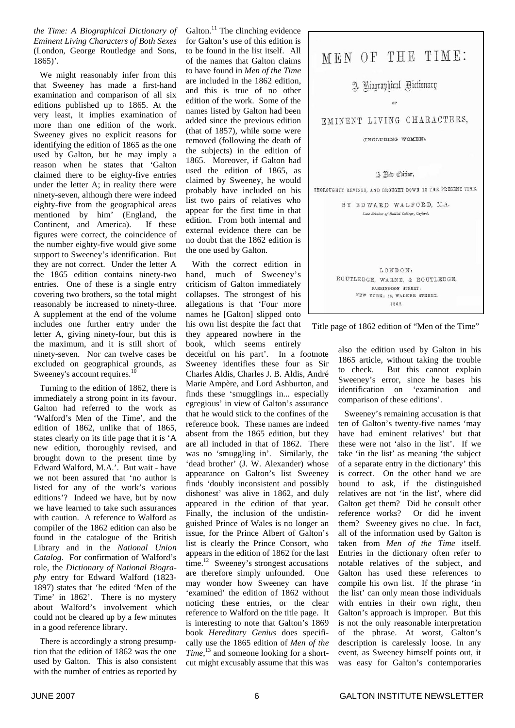*the Time: A Biographical Dictionary of Eminent Living Characters of Both Sexes* (London, George Routledge and Sons, 1865)'.

We might reasonably infer from this that Sweeney has made a first-hand examination and comparison of all six editions published up to 1865. At the very least, it implies examination of more than one edition of the work. Sweeney gives no explicit reasons for identifying the edition of 1865 as the one used by Galton, but he may imply a reason when he states that 'Galton claimed there to be eighty-five entries under the letter A; in reality there were ninety-seven, although there were indeed eighty-five from the geographical areas mentioned by him' (England, the Continent, and America). If these figures were correct, the coincidence of the number eighty-five would give some support to Sweeney's identification. But they are not correct. Under the letter A the 1865 edition contains ninety-two entries. One of these is a single entry covering two brothers, so the total might reasonably be increased to ninety-three. A supplement at the end of the volume includes one further entry under the letter A, giving ninety-four, but this is the maximum, and it is still short of ninety-seven. Nor can twelve cases be excluded on geographical grounds, as Sweeney's account requires. $10$ 

Turning to the edition of 1862, there is immediately a strong point in its favour. Galton had referred to the work as 'Walford's Men of the Time', and the edition of 1862, unlike that of 1865, states clearly on its title page that it is 'A new edition, thoroughly revised, and brought down to the present time by Edward Walford, M.A.'. But wait - have we not been assured that 'no author is listed for any of the work's various editions'? Indeed we have, but by now we have learned to take such assurances with caution. A reference to Walford as compiler of the 1862 edition can also be found in the catalogue of the British Library and in the *National Union Catalog*. For confirmation of Walford's role, the *Dictionary of National Biography* entry for Edward Walford (1823- 1897) states that 'he edited 'Men of the Time' in 1862'. There is no mystery about Walford's involvement which could not be cleared up by a few minutes in a good reference library.

There is accordingly a strong presumption that the edition of 1862 was the one used by Galton. This is also consistent with the number of entries as reported by

Galton. $^{11}$  The clinching evidence for Galton's use of this edition is to be found in the list itself. All of the names that Galton claims to have found in *Men of the Time* are included in the 1862 edition, and this is true of no other edition of the work. Some of the names listed by Galton had been added since the previous edition (that of 1857), while some were removed (following the death of the subjects) in the edition of 1865. Moreover, if Galton had used the edition of 1865, as claimed by Sweeney, he would probably have included on his list two pairs of relatives who appear for the first time in that edition. From both internal and external evidence there can be no doubt that the 1862 edition is the one used by Galton.

With the correct edition in hand, much of Sweeney's criticism of Galton immediately collapses. The strongest of his allegations is that 'Four more names he [Galton] slipped onto his own list despite the fact that they appeared nowhere in the book, which seems entirely

deceitful on his part'. In a footnote Sweeney identifies these four as Sir Charles Aldis, Charles J. B. Aldis, André Marie Ampère, and Lord Ashburton, and finds these 'smugglings in... especially egregious' in view of Galton's assurance that he would stick to the confines of the reference book. These names are indeed absent from the 1865 edition, but they are all included in that of 1862. There was no 'smuggling in'. Similarly, the 'dead brother' (J. W. Alexander) whose appearance on Galton's list Sweeney finds 'doubly inconsistent and possibly dishonest' was alive in 1862, and duly appeared in the edition of that year. Finally, the inclusion of the undistinguished Prince of Wales is no longer an issue, for the Prince Albert of Galton's list is clearly the Prince Consort, who appears in the edition of 1862 for the last time.<sup>12</sup> Sweeney's strongest accusations are therefore simply unfounded. One may wonder how Sweeney can have 'examined' the edition of 1862 without noticing these entries, or the clear reference to Walford on the title page. It is interesting to note that Galton's 1869 book *Hereditary Genius* does specifically use the 1865 edition of *Men of the Time*, <sup>13</sup> and someone looking for a shortcut might excusably assume that this was



Title page of 1862 edition of "Men of the Time"

also the edition used by Galton in his 1865 article, without taking the trouble to check. But this cannot explain Sweeney's error, since he bases his identification on 'examination and comparison of these editions'.

Sweeney's remaining accusation is that ten of Galton's twenty-five names 'may have had eminent relatives' but that these were not 'also in the list'. If we take 'in the list' as meaning 'the subject of a separate entry in the dictionary' this is correct. On the other hand we are bound to ask, if the distinguished relatives are not 'in the list', where did Galton get them? Did he consult other reference works? Or did he invent them? Sweeney gives no clue. In fact, all of the information used by Galton is taken from *Men of the Time* itself. Entries in the dictionary often refer to notable relatives of the subject, and Galton has used these references to compile his own list. If the phrase 'in the list' can only mean those individuals with entries in their own right, then Galton's approach is improper. But this is not the only reasonable interpretation of the phrase. At worst, Galton's description is carelessly loose. In any event, as Sweeney himself points out, it was easy for Galton's contemporaries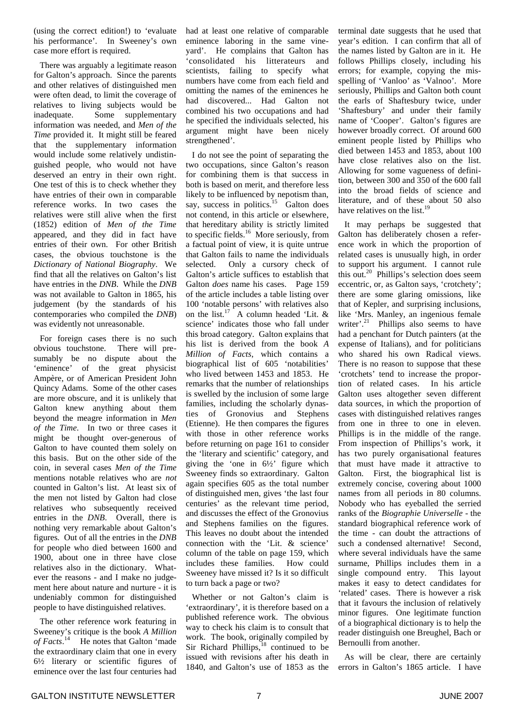(using the correct edition!) to 'evaluate his performance'. In Sweeney's own case more effort is required.

There was arguably a legitimate reason for Galton's approach. Since the parents and other relatives of distinguished men were often dead, to limit the coverage of relatives to living subjects would be inadequate. Some supplementary information was needed, and *Men of the Time* provided it. It might still be feared that the supplementary information would include some relatively undistinguished people, who would not have deserved an entry in their own right. One test of this is to check whether they have entries of their own in comparable reference works. In two cases the relatives were still alive when the first (1852) edition of *Men of the Time* appeared, and they did in fact have entries of their own. For other British cases, the obvious touchstone is the *Dictionary of National Biography*. We find that all the relatives on Galton's list have entries in the *DNB*. While the *DNB* was not available to Galton in 1865, his judgement (by the standards of his contemporaries who compiled the *DNB*) was evidently not unreasonable.

For foreign cases there is no such obvious touchstone. There will presumably be no dispute about the 'eminence' of the great physicist Ampère, or of American President John Quincy Adams. Some of the other cases are more obscure, and it is unlikely that Galton knew anything about them beyond the meagre information in *Men of the Time*. In two or three cases it might be thought over-generous of Galton to have counted them solely on this basis. But on the other side of the coin, in several cases *Men of the Time* mentions notable relatives who are *not* counted in Galton's list. At least six of the men not listed by Galton had close relatives who subsequently received entries in the *DNB*. Overall, there is nothing very remarkable about Galton's figures. Out of all the entries in the *DNB* for people who died between 1600 and 1900, about one in three have close relatives also in the dictionary. Whatever the reasons - and I make no judgement here about nature and nurture - it is undeniably common for distinguished people to have distinguished relatives.

The other reference work featuring in Sweeney's critique is the book *A Million* of Facts.<sup>14</sup> He notes that Galton 'made the extraordinary claim that one in every 6½ literary or scientific figures of eminence over the last four centuries had

had at least one relative of comparable eminence laboring in the same vineyard'. He complains that Galton has 'consolidated his litterateurs and scientists, failing to specify what numbers have come from each field and omitting the names of the eminences he had discovered... Had Galton not combined his two occupations and had he specified the individuals selected, his argument might have been nicely strengthened'.

I do not see the point of separating the two occupations, since Galton's reason for combining them is that success in both is based on merit, and therefore less likely to be influenced by nepotism than, say, success in politics.<sup>15</sup> Galton does not contend, in this article or elsewhere, that hereditary ability is strictly limited to specific fields.<sup>16</sup> More seriously, from a factual point of view, it is quite untrue that Galton fails to name the individuals selected. Only a cursory check of Galton's article suffices to establish that Galton *does* name his cases. Page 159 of the article includes a table listing over 100 'notable persons' with relatives also on the list.<sup>17</sup> A column headed 'Lit.  $\&$ science' indicates those who fall under this broad category. Galton explains that his list is derived from the book *A Million of Facts*, which contains a biographical list of 605 'notabilities' who lived between 1453 and 1853. He remarks that the number of relationships is swelled by the inclusion of some large families, including the scholarly dynasties of Gronovius and Stephens (Etienne). He then compares the figures with those in other reference works before returning on page 161 to consider the 'literary and scientific' category, and giving the 'one in 6½' figure which Sweeney finds so extraordinary. Galton again specifies 605 as the total number of distinguished men, gives 'the last four centuries' as the relevant time period, and discusses the effect of the Gronovius and Stephens families on the figures. This leaves no doubt about the intended connection with the 'Lit. & science' column of the table on page 159, which includes these families. How could Sweeney have missed it? Is it so difficult to turn back a page or two?

Whether or not Galton's claim is 'extraordinary', it is therefore based on a published reference work. The obvious way to check his claim is to consult that work. The book, originally compiled by Sir Richard Phillips,<sup>18</sup> continued to be issued with revisions after his death in 1840, and Galton's use of 1853 as the terminal date suggests that he used that year's edition. I can confirm that all of the names listed by Galton are in it. He follows Phillips closely, including his errors; for example, copying the misspelling of 'Vanloo' as 'Valnoo'. More seriously, Phillips and Galton both count the earls of Shaftesbury twice, under 'Shaftesbury' and under their family name of 'Cooper'. Galton's figures are however broadly correct. Of around 600 eminent people listed by Phillips who died between 1453 and 1853, about 100 have close relatives also on the list. Allowing for some vagueness of definition, between 300 and 350 of the 600 fall into the broad fields of science and literature, and of these about 50 also have relatives on the list.<sup>19</sup>

It may perhaps be suggested that Galton has deliberately chosen a reference work in which the proportion of related cases is unusually high, in order to support his argument. I cannot rule this out.<sup>20</sup> Phillips's selection does seem eccentric, or, as Galton says, 'crotchety'; there are some glaring omissions, like that of Kepler, and surprising inclusions, like 'Mrs. Manley, an ingenious female writer'.<sup>21</sup> Phillips also seems to have had a penchant for Dutch painters (at the expense of Italians), and for politicians who shared his own Radical views. There is no reason to suppose that these 'crotchets' tend to increase the proportion of related cases. In his article Galton uses altogether seven different data sources, in which the proportion of cases with distinguished relatives ranges from one in three to one in eleven. Phillips is in the middle of the range. From inspection of Phillips's work, it has two purely organisational features that must have made it attractive to Galton. First, the biographical list is extremely concise, covering about 1000 names from all periods in 80 columns. Nobody who has eyeballed the serried ranks of the *Biographie Universelle* - the standard biographical reference work of the time - can doubt the attractions of such a condensed alternative! Second, where several individuals have the same surname, Phillips includes them in a single compound entry. This layout makes it easy to detect candidates for 'related' cases. There is however a risk that it favours the inclusion of relatively minor figures. One legitimate function of a biographical dictionary is to help the reader distinguish one Breughel, Bach or Bernoulli from another.

As will be clear, there are certainly errors in Galton's 1865 article. I have